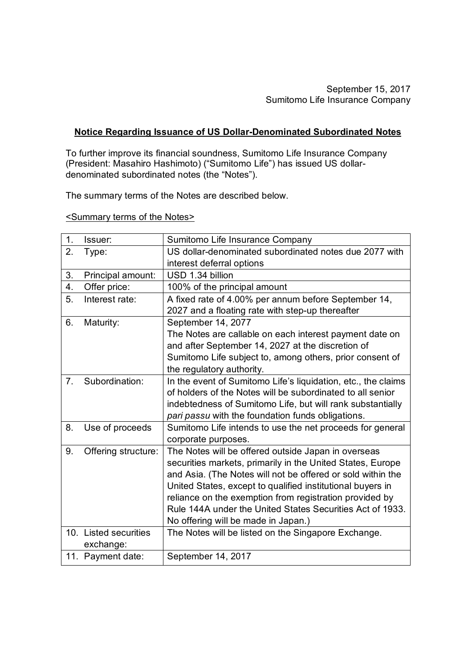## **Notice Regarding Issuance of US Dollar-Denominated Subordinated Notes**

To further improve its financial soundness, Sumitomo Life Insurance Company (President: Masahiro Hashimoto) ("Sumitomo Life") has issued US dollardenominated subordinated notes (the "Notes").

The summary terms of the Notes are described below.

<Summary terms of the Notes>

| 1.             | Issuer:               | Sumitomo Life Insurance Company                               |
|----------------|-----------------------|---------------------------------------------------------------|
| 2.             | Type:                 | US dollar-denominated subordinated notes due 2077 with        |
|                |                       | interest deferral options                                     |
| 3.             | Principal amount:     | USD 1.34 billion                                              |
| 4.             | Offer price:          | 100% of the principal amount                                  |
| 5.             | Interest rate:        | A fixed rate of 4.00% per annum before September 14,          |
|                |                       | 2027 and a floating rate with step-up thereafter              |
| 6.             | Maturity:             | September 14, 2077                                            |
|                |                       | The Notes are callable on each interest payment date on       |
|                |                       | and after September 14, 2027 at the discretion of             |
|                |                       | Sumitomo Life subject to, among others, prior consent of      |
|                |                       | the regulatory authority.                                     |
| 7 <sub>1</sub> | Subordination:        | In the event of Sumitomo Life's liquidation, etc., the claims |
|                |                       | of holders of the Notes will be subordinated to all senior    |
|                |                       | indebtedness of Sumitomo Life, but will rank substantially    |
|                |                       | pari passu with the foundation funds obligations.             |
| 8.             | Use of proceeds       | Sumitomo Life intends to use the net proceeds for general     |
|                |                       | corporate purposes.                                           |
| 9.             | Offering structure:   | The Notes will be offered outside Japan in overseas           |
|                |                       | securities markets, primarily in the United States, Europe    |
|                |                       | and Asia. (The Notes will not be offered or sold within the   |
|                |                       | United States, except to qualified institutional buyers in    |
|                |                       | reliance on the exemption from registration provided by       |
|                |                       | Rule 144A under the United States Securities Act of 1933.     |
|                |                       | No offering will be made in Japan.)                           |
|                | 10. Listed securities | The Notes will be listed on the Singapore Exchange.           |
|                | exchange:             |                                                               |
|                | 11. Payment date:     | September 14, 2017                                            |